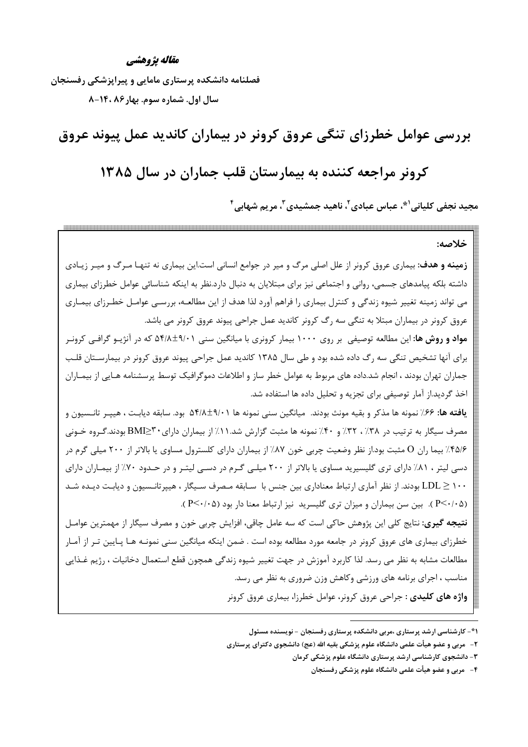#### مقاله يژوهشي

فصلنامه دانشکده پرستاری مامایی و پیراپزشکی رفسنجان سال اول. شماره سوم. بهار ۸۶ ،۱۴۰–۸

بررسی عوامل خطرزای تنگی عروق کرونر در بیماران کاندید عمل پیوند عروق

# کرونر مراجعه کننده به بیمارستان قلب جماران در سال ۱۳۸۵

محید نجفے کلیانے <sup>(\*</sup>، عیاس عیادی ً، ناھید جمشیدی <sup>۳</sup>، مریم شھابے <sup>۴</sup>

خلاصه: **زمینه و هدف**: بیماری عروق کرونر از علل اصلی مرگ و میر در جوامع انسانی است.این بیماری نه تنهـا مـرگ و میـر زیـادی داشته بلکه پیامدهای جسمی، روانی و اجتماعی نیز برای مبتلایان به دنبال دارد.نظر به اینکه شناسائی عوامل خطرزای بیماری می تواند زمینه تغییر شیوه زندگی و کنترل بیماری را فراهم آورد لذا هدف از این مطالعـه، بررسـی عوامـل خطـرزای بیمـاری عروق کرونر در بیماران مبتلا به تنگی سه رگ کرونر کاندید عمل جراحی پیوند عروق کرونر می باشد. م**واد و روش ها:** این مطالعه توصیفی بر روی ۱۰۰۰ بیمار کرونری با میانگین سنی ۵۴/۸±۵۴/۱ که در آنژیـو گرافـی کرونـر برای آنها تشخیص تنگی سه رگ داده شده بود و طی سال ۱۳۸۵ کاندید عمل جراحی پیوند عروق کرونر در بیمارسـتان قلـب جماران تهران بودند ، انجام شد.داده های مربوط به عوامل خطر ساز و اطلاعات دموگرافیک توسط پرسشنامه هـایی از بیمـاران اخذ گردید.از آمار توصیفی برای تجزیه و تحلیل داده ها استفاده شد. **یافته ها:** ۶۶٪ نمونه ها مذکر و بقیه مونث بودند. میانگین سنی نمونه ها ۵۴/۸±۹/۰۱ بود. سابقه دیابت ، هیپـر تانـسیون و مصرف سیگار به ترتیب در ۳۸٪، ۳۲٪ و ۴۰٪ نمونه ها مثبت گزارش شد.۱۱٪ از بیماران دارای۳\*≤BMI بودند.گروه خـونی ۴۵/۶٪ بیما ران O مثبت بود از نظر وضعیت چربی خون ۸۷٪ از بیماران دارای کلسترول مساوی یا بالاتر از ۲۰۰ میلی گرم در دسی لیتر ، ۸۱٪ دارای تری گلیسیرید مساوی یا بالاتر از ۲۰۰ میلی گرم در دسـی لیتـر و در حـدود ۷۰٪ از بیمـاران دارای ۱۰۰ ∑LDL بودند. از نظر آماری ارتباط معناداری بین جنس با سـابقه مـصرف سـیگار ، هیپرتانـسیون و دیابـت دیـده شـد (P<٠/٠۵). بین سن بیماران و میزان تری گلیسرید نیز ارتباط معنا دار بود (P<٠/٠۵). **نتیجه گیری**: نتایج کلی این پژوهش حاکی است که سه عامل چاقی، افزایش چربی خون و مصرف سیگار از مهمترین عوامـل خطرزای بیماری های عروق کرونر در جامعه مورد مطالعه بوده است . ضمن اینکه میانگین سنی نمونـه هـا پـایین تـر از آمـار مطالعات مشابه به نظر می رسد. لذا کاربرد آموزش در جهت تغییر شیوه زندگی همچون قطع استعمال دخانیات ، رژیم غـذایی مناسب ، اجرای برنامه های ورزشی وکاهش وزن ضروری به نظر می رسد. واژه های کلیدی : جراحی عروق کرونر، عوامل خطرزا، بیماری عروق کرونر

۱\*- کارشناسی ارشد پرستاری ،مربی دانشکده پرستاری رفسنجان - نویسنده مسئول

۲- ً مربی و عضو هیأت علمی دانشگاه علوم پزشکی بقیه الله (عج) دانشجوی دکترای پرستاری

۳- دانشجوی کارشناسی ارشد پرستاری دانشگاه علوم پزشکی کرمان

۴ – مربی و عضو هیأت علمی دانشگاه علوم پزشکی رفسنجان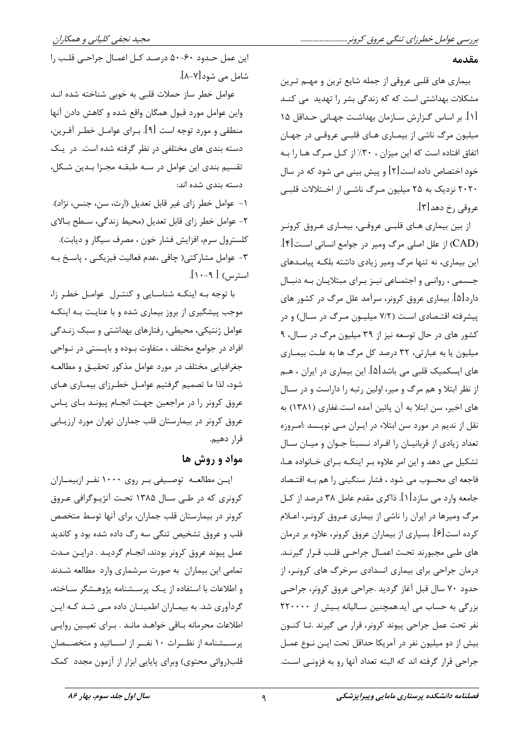#### مقدمه

بیماری های قلبی عروقی از جمله شایع ترین و مهـم تـرین مشکلات بهداشت<sub>ه،</sub> است که که زندگی بشر را تهدید می کنـد [۱]. بر اساس گـزارش سـازمان بهداشـت جهـانی حـداقل ۱۵ میلیون مرگ ناشی از بیمـاری هـای قلبـی عروقـی در جهـان اتفاق افتاده است که این میزان ، ۳۰٪ از کـل مـرگ هـا را بـه خود اختصاص داده است[۲] و پیش بینی می شود که در سال ۲۰۲۰ نزدیک به ۲۵ میلیون مـرگ ناشـی از اخــتلالات قلبـی عروقي رخ دهد[۳].

از بین بیماری هـای قلبـی عروقـی، بیمـاری عـروق کرونـر (CAD) از علل اصلی مرگ ومیر در جوامع انسانی است[۴]. این بیماری، نه تنها مرگ ومیر زیادی داشته بلکـه پیامـدهای جسمی ، روانبی و اجتمـاعی نیـز بـرای مبتلایـان بـه دنبـال دارد[۵]. بیماری عروق کرونر، سرآمد علل مرگ در کشور های پیشرفته اقتـصادی اسـت (۷/۲ میلیـون مـرگ در سـال) و در کشور های در حال توسعه نیز از ۳۹ میلیون مرگ در سـال، ۹ میلیون یا به عبارتی، ۳۲ درصد کل مرگ ها به علت بیمـاری های ایسکمیک قلبی می باشد[۵]. این بیماری در ایران ، هــم از نظر ابتلا و هم مرگ و میر، اولین رتبه را داراست و در سـال های اخیر، سن ابتلا به آن پائین آمده است.غفاری (۱۳۸۱) به نقل از ندیم در مورد سن ابتلاء در ایـران مــی نویــسد :امـروزه تعداد زیادی از قربانیـان را افـراد نـسبتاً جـوان و میـان سـال تشکیل می دهد و این امر علاوه بـر اینکـه بـرای خـانواده هـا، فاجعه ای محسوب می شود ، فشار سنگینی را هم بـه اقتـصاد جامعه وارد می سازد[۱]. ذاکری مقدم عامل ۳۸ درصد از کـل مرگ ومیرها در ایران را ناشی از بیماری عـروق کرونـر، اعـلام کرده است[۶]. بسیاری از بیماران عروق کرونر، علاوه بر درمان های طبی مجبورند تحت اعمـال جراحـی قلـب قـرار گیرنـد. درمان جراحی برای بیماری انسدادی سرخرگ های کرونـر، از حدود ۷۰ سال قبل آغاز گردید .جراحی عروق کرونر، جراحبی بزرگی به حساب می آید.همچنین سـالیانه بـیش از ۲۲۰۰۰۰ نفر تحت عمل جراحي پيوند كرونر، قرار مي گيرند .تـا كنــون بيش از دو ميليون نفر در آمريكا حداقل تحت ايـن نـوع عمـل جراحي قرار گرفته اند كه البته تعداد آنها رو به فزونـي اسـت.

این عمل حـدود ۶۰-۵۰ درصـد کـل اعمـال جراحـی قلـب را شامل می شود[۷-۸].

عوامل خطر ساز حملات قلبی به خوبی شناخته شده انـد واین عوامل مورد قبول همگان واقع شده و کاهش دادن آنها منطقی و مورد توجه است [۹]. بـرای عوامــل خطـر آفـرین، دسته بندی های مختلفی در نظر گرفته شده است. در یک تقسیم بندی این عوامل در سـه طبقـه مجـزا بـدین شـكل، دسته بندی شده اند:

١- عوامل خطر زاي غير قابل تعديل (ارث، سن، جنس، نژاد). ٢- عوامل خطر زاي قابل تعديل (محيط زندگي، سـطح بـالاي كلسترول سرم، افزايش فشار خون ، مصرف سيگار و ديابت). ٣- عوامل مشاركتي( چاقي ،عدم فعاليت فيزيكـي ، پاسـخ بـه استرس) [ ۹-۱۰].

با توجه به اینکه شناسایی و کنترل عوامل خطر زا، موجب پیشگیری از بروز بیماری شده و با عنایت بـه اینکـه عوامل ژنتیکی، محیطی، رفتارهای بهداشتی و سبک زنـدگی افراد در جوامع مختلف ، متفاوت بـوده و بايـستى در نـواحى جغرافیایی مختلف در مورد عوامل مذکور تحقیـق و مطالعـه شود، لذا ما تصميم گرفتيم عوامـل خطـرزاي بيمـاري هـاي عروق کرونر را در مراجعین جهت انجـام پیونـد بـای پـاس عروق کرونر در بیمارستان قلب جماران تهران مورد ارزیـابی قرار دهيم.

## مواد و روش ها

ایسن مطالعــه توصــیفی بــر روی ۱۰۰۰ نفــر ازبیمــاران کرونری که در طے سال ۱۳۸۵ تحت آنژیـوگرافی عـروق كرونر در بيمارستان قلب جماران، براي آنها توسط متخصص قلب و عروق تشخیص تنگی سه رگ داده شده بود و کاندید عمل پیوند عروق کرونر بودند، انجـام گردیـد . درایـن مـدت تمامی این بیماران به صورت سرشماری وارد مطالعه شـدند و اطلاعات با استفاده از یک پرسشنامه پژوهشگر ساخته، گردآوری شد. به بیمـاران اطمینـان داده مـی شـد کـه ایـن اطلاعات محرمانه بـاقى خواهـد مانـد . بـراى تعيـين روايـى پرســشنامه از نظــرات ١٠ نفــر از اســاتيد و متخصــصان قلب(روائی محتوی) وبرای پایایی ابزار از آزمون مجدد کمک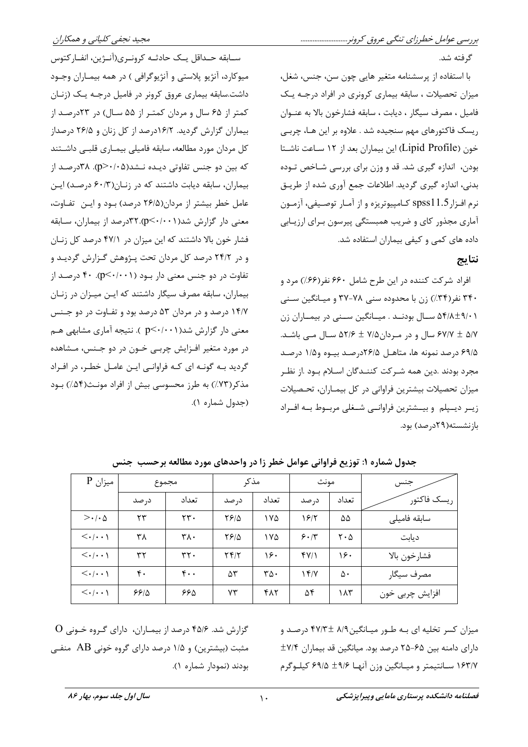سـابقه حـداقل يـك حادثـه كرونـرى(آنـژين، انفــاركتوس ميوكارد، آنژيو پلاستي و آنژيوگرافي ) در همه بيمـاران وجـود داشت.سابقه بیماری عروق کرونر در فامیل درجـه یـک (زنـان کمتر از ۶۵ سال و مردان کمتر از ۵۵ سال) در ۲۳درصد از بیماران گزارش گردید. ۱۶/۲درصد از کل زنان و ۲۶/۵ درصداز كل مردان مورد مطالعه، سابقه فاميلي بيمـاري قلبـي داشـتند که بین دو جنس تفاوتی دیـده نـشد(۵→۰/۰⊄). ۳۸درصـد از بیماران، سابقه دیابت داشتند که در زنان(۶۰/۳ درصد) این عامل خطر بیشتر از مردان(۲۶/۵ درصد) بود و این تفاوت، معنی دار گزارش شد(p<٠/٠٠١).٣٢درصد از بیماران، سـابقه فشار خون بالا داشتند که این میزان در ۴۷/۱ درصد کل زنـان و در ۲۴/۲ درصد کل مردان تحت پـژوهش گـزارش گرديـد و تفاوت در دو جنس معنی دار بود (p<۰/۰۰۱). ۴۰ درصد از بیماران، سابقه مصرف سیگار داشتند که ایـن میـزان در زنـان ۱۴/۷ درصد و در مردان ۵۳ درصد بود و تفـاوت در دو جـنس معنی دار گزارش شد(p<۰/۰۰۱ ). نتیجه آماری مشابهی هـم در مورد متغیر افـزایش چربـی خـون در دو جـنس، مـشاهده گردید بـه گونـه ای کـه فراوانـی ایـن عامـل خطـر، در افـراد (٧٣٪) به طرز محسوسی بیش از افراد مونـث(۵۴٪) بـود آل شماره ۱).

با استفاده از پرسشنامه متغیر هایی چون سن، جنس، شغل، میزان تحصیلات ، سابقه بیماری کرونری در افراد درجـه یـک فاميل ، مصرف سيگار ، ديابت ، سابقه فشارخون بالا به عنــوان ریسک فاکتورهای مهم سنجیده شد . علاوه بر این هـا، چربـی خون (Lipid Profile) این بیماران بعد از ۱۲ ساعت ناشـتا بودن، اندازه گیری شد. قد و وزن برای بررسی شـاخص تـوده بدنی، اندازه گیری گردید. اطلاعات جمع آوری شده از طریـق نرم افزار spss11.5 كـامپيوتريزه و از آمـار توصـيفي، آزمـون آماری مجذور کای و ضریب همبستگی پیرسون بـرای ارزیـابی داده های کمی و کیفی بیماران استفاده شد.

### نتايج

گرفته شد.

افراد شرکت کننده در این طرح شامل ۶۶۰ نفر (۶۶٪) مرد و ۳۴۰ نفر (۳۴٪) زن با محدوده سنی ۷۸–۳۷ و میبانگین سنتی ۵۴/۸±۹/۰۱ سال بودنـد . میـانگین سـنی در بیمـاران زن ۶۷/۷ ± ۵/۷ سال و در مـردان۷/۵ ± ۵۲/۶ سـال مـی باشـد. ۶۹/۵ درصد نمونه ها، متاهـل ۲۶/۵درصـد بیـوه و۱/۵ درصـد همه شريكت كنز دگان اسلام دود از نظ

| جدول شماره ۱: توزیع فراوانی عوامل خطر زا در واحدهای مورد مطالعه برحسب جنس |                                                                |  |  |  |  |  |
|---------------------------------------------------------------------------|----------------------------------------------------------------|--|--|--|--|--|
|                                                                           | بازنشسته(۲۹درصد) بود.                                          |  |  |  |  |  |
| (جدول شماره ۱).                                                           | زیـر دیـپلم و بیـشترین فراوانـی شـغلی مربـوط بـه افـراد        |  |  |  |  |  |
| مذکر(۷۳٪) به طرز محسوسی بیش از افراد                                      | میزان تحصیلات بیشترین فراوانی در کل بیمـاران، تحـصیلات         |  |  |  |  |  |
|                                                                           | مجرد بودند .دین همه سـر نب  نـنــد تان اســلام بــود .ار نصــر |  |  |  |  |  |

| $\rm P$ میزان                         | مجموع |                                 | مذكر  |                             | مونث  |                                    | جنس             |
|---------------------------------------|-------|---------------------------------|-------|-----------------------------|-------|------------------------------------|-----------------|
|                                       | د, صد | تعداد                           | د, صد | تعداد                       | د, صد | تعداد                              | , يسك فاكتور    |
| $>\cdot\cdot\wedge$                   | ۲۳    | rr.                             | 8810  | ۱۷۵                         | ۱۶۱۲  | ۵۵                                 | سابقه فاميلى    |
| $\langle \cdot   \cdot \cdot \rangle$ | ۳۸    | ۳۸.                             | 8810  | ۱۷۵                         | 5.1   | $\mathsf{Y} \cdot \mathsf{\Delta}$ | ديابت           |
| $\langle \cdot   \cdot \cdot \rangle$ | ٣٢    | rr.                             | Yf/Y  | ۱۶۰                         | f(Y)  | ۱۶۰                                | فشارخون بالا    |
| $\langle \cdot   \cdot \cdot \rangle$ | ۴٠    | $\mathfrak{r}\cdot\mathfrak{r}$ | ۵٣    | $\mathbf{r}\mathbf{r}\cdot$ | ۱۴۱۷  | ۵٠                                 | مصرف سيگار      |
| $\langle \cdot   \cdot \cdot \rangle$ | 8818  | ۶۶۵                             | ۷۳    | ۴۸۲                         | ۵۴    | ۱۸۳                                | افزايش چربي خون |

میزان کسر تخلیه ای بـه طـور میـانگین۸/۹ ±۴۷/۳ درصـد و دارای دامنه بین ۶۵-۲۵ درصد بود. میانگین قد بیماران ۷/۴± ۱۶۳/۷ سـانتيمتر و ميـانگين وزن آنهـا ۴۹/۶ ± ۶۹/۵ كيلـوگرم

 $\rm O$  گزارش شد. ۴۵/۶ درصد از بیمـاران، دارای گـروه خـونی مثبت (بیشترین) و ۱/۵ درصد دارای گروه خونی AB منفی بودند (نمودار شماره ۱).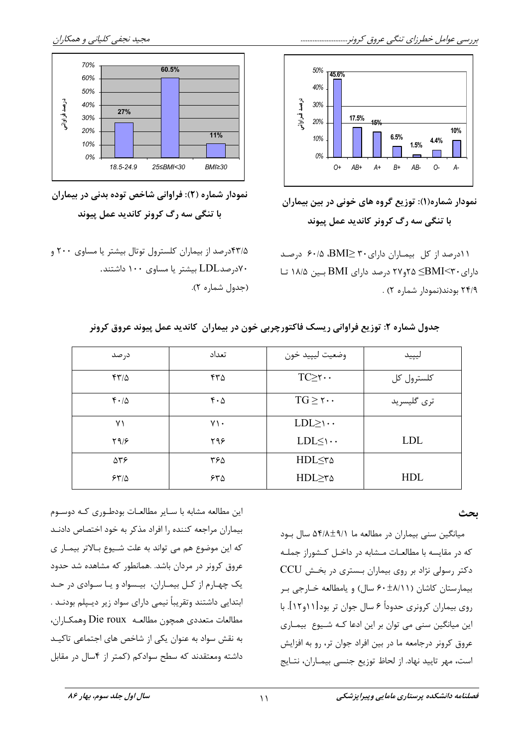

نمودار شماره(۱): توزیع گروه های خونی در بین بیماران با تنگی سه رگ کرونر کاندید عمل پیوند

۰۱۱درصد از کل بیماران دارای۳۰ BMI> ۶۰/۵ درصد دارای ۴۰>EMI که ۲م و۲۷ درصد دارای BMI بسین ۱۸/۵ ت ۲۴/۹ بودند(نمودار شماره ۲).



مجيد نجفي كلياني و همكاران

نمودار شماره (۲): فراوانی شاخص توده بدنی در بیماران با تنگی سه رگ کرونر کاندید عمل پیوند

۴۳/۵درصد از بیماران کلسترول توتال بیشتر یا مساوی ۲۰۰ و ۷۰د, صدLDL بیشتر یا مساوی ۱۰۰ داشتند. (جدول شماره ٢).

| در صد              | تعداد            | وضعيت ليپيد خون        | ليپيد       |
|--------------------|------------------|------------------------|-------------|
| $f''/\Delta$       | ۴۳۵              | $TC \geq r \cdots$     | كلسترول كل  |
| $f \cdot / \Delta$ | $f \cdot \Delta$ | $TG \geq 7 \cdots$     | ترى گليسريد |
| ۷١                 | $Y \cdot$        | $LDL \geq \cdots$      |             |
| Y9/F               | ۲۹۶              | $LDL \leq \mathcal{C}$ | <b>LDL</b>  |
| 538                | ۳۶۵              | HDL≤۳۵                 |             |
| 54/2               | ۶۳۵              | HDL≥۳۵                 | <b>HDL</b>  |

جدول شماره ۲: توزیع فراوانی ریسک فاکتورچربی خون در بیماران کاندید عمل پیوند عروق کرونر

این مطالعه مشابه با سـایر مطالعـات بودطـوری کـه دوسـوم بیماران مراجعه کننده را افراد مذکر به خود اختصاص دادنـد که این موضوع هم می تواند به علت شـیوع بـالاتر بیمـار ی عروق کرونر در مردان باشد. .همانطور که مشاهده شد حدود یک چهارم از کـل بیمـاران، بیـسواد و یـا سـوادی در حـد ابتدایی داشتند وتقریباً نیمی دارای سواد زیر دیـپلم بودنــد . مطالعات متعددي همچون مطالعـه Die roux وهمكـاران، به نقش سواد به عنوان یکی از شاخص های اجتماعی تاکیـد داشته ومعتقدند که سطح سوادکم (کمتر از ۴سال در مقابل

ىحث

میانگین سنی بیماران در مطالعه ما ۵۴/۸±۹/۱ سال بود که در مقایسه با مطالعـات مـشابه در داخـل کـشوراز جملـه دکتر رسولی نژاد بر روی بیماران بستری در بخش CCU بیمارستان کاشان (۶۰±۸/۱۱ سال) و یامطالعه خـارجی بـر روی بیماران کرونری حدوداً ۶ سال جوان تر بود[۱۱و۱۲]. با این میانگین سنی می توان بر این ادعا کـه شـیوع بیمـاری عروق كرونر درجامعه ما در بين افراد جوان تر، رو به افزايش است، مهر تاييد نهاد. از لحاظ توزيع جنسي بيمـاران، نتـايج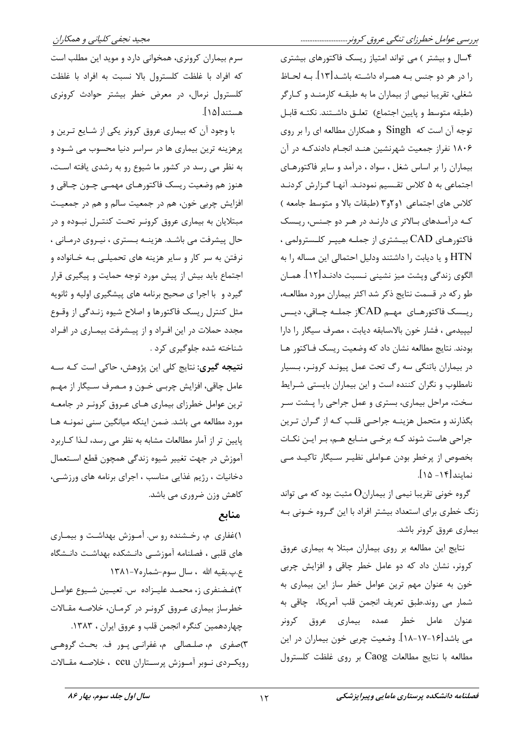مجيد نجفي كلياني و همكاران

سرم بیماران کرونری، همخوانی دارد و موید این مطلب است كه افراد با غلظت كلسترول بالا نسبت به افراد با غلظت کلسترول نرمال، در معرض خطر بیشتر حوادث کرونری هستند[۱۵].

با وجود آن که بیماری عروق کرونر یکی از شـایع تـرین و پرهزینه ترین بیماری ها در سراسر دنیا محسوب می شـود و به نظر می رسد در کشور ما شیوع رو به رشدی یافته است، هنوز هم وضعیت ریسک فاکتورهـای مهمــی چــون چــاقی و افزايش چربي خون، هم در جمعيت سالم و هم در جمعيت مبتلایان به بیماری عروق کرونر تحت کنتـرل نبـوده و در حال پیشرفت می باشـد. هزینــه بـستری ، نیـروی درمـانی ، نرفتن به سر کار و سایر هزینه های تحمیلـی بـه خـانواده و اجتماع باید بیش از پیش مورد توجه حمایت و پیگیری قرار گیرد و با اجرا ی صحیح برنامه های پیشگیری اولیه و ثانویه مثل کنترل ریسک فاکتورها و اصلاح شیوه زنـدگی از وقــوع مجدد حملات در این افـراد و از پیـشرفت بیمـاری در افـراد شناخته شده جلوگیری کرد .

**نتیجه گیری:** نتایج کلی این پژوهش، حاکی است کـه سـه عامل چاقی، افزایش چربـی خــون و مـصرف ســیگار از مهــم ترین عوامل خطرزای بیماری هـای عـروق کرونـر در جامعـه مورد مطالعه می باشد. ضمن اینکه میانگین سنی نمونـه هـا پایین تر از آمار مطالعات مشابه به نظر می رسد، لـذا كـاربرد آموزش در جهت تغيير شيوه زندگي همچون قطع استعمال دخانیات ، رژیم غذایی مناسب ، اجرای برنامه های ورزشـی، کاهش وزن ضروری می باشد.

## منابع

۱)غفاری م، رخشنده رو س. آموزش بهداشت و بیماری های قلبی ، فصلنامه آموزشـی دانـشکده بهداشـت دانـشگاه ع.پ.بقيه الله ، سال سوم-شماره٧-١٣٨١ ٢)غضنفري ز، محمـد عليـزاده س. تعيـين شـيوع عوامـل خطرساز بیماری عروق کرونر در کرمان، خلاصه مقالات چهاردهمین کنگره انجمن قلب و عروق ایران ، ۱۳۸۳. ٣)صفري ۾، صلـصالي ۾، غفرانـي پـور ف. بحـث گروهـي رویک ردی نـوبر آمـوزش پرسـتاران CCU ، خلاصـه مقـالات ۴سال و بیشتر ) می تواند امتیاز ریسک فاکتورهای بیشتری را در هر دو جنس بـه همـراه داشـته باشـد[۱۳]. بـه لحـاظ شغلی، تقریبا نیمی از بیماران ما به طبقـه کارمنـد و کـارگر (طبقه متوسط ويايين اجتماع) تعلـق داشـتند. نكتـه قابـل توجه آن است که Singh و همکاران مطالعه ای را بر روی ۱۸۰۶ نفراز جمعیت شهرنشین هنـد انجـام دادندکـه در آن بیماران را بر اساس شغل ، سواد ، درآمد و سایر فاکتورهـای اجتماعی به ۵ کلاس تقـسیم نمودنـد. آنهـا گـزارش کردنـد كلاس هاى اجتماعى ١و ٢و٣ (طبقات بالا و متوسط جامعه ) کـه درآمـدهای بـالاتر ی دارنـد در هـر دو جـنس، ریـسک فاکتورهـای CAD بیـشتری از جملـه هیپـر کلـسترولمی ، HTN و یا دیابت را داشتند ودلیل احتمالی این مساله را به الگوی زندگی ویشت میز نشینی نـسبت دادنـد[۱۲]. همـان طو رکه در قسمت نتایج ذکر شد اکثر بیماران مورد مطالعـه، ريىسك فاكتورهـاى مهـم CADاز جملـه چـاقى، ديــس ليپيدمي ، فشار خون بالا،سابقه ديابت ، مصرف سيگار را دارا بودند. نتایج مطالعه نشان داد که وضعیت ریسک فـاکتور هـا در بیماران باتنگی سه رگ تحت عمل پیونـد کرونـر، بـسیار نامطلوب و نگران کننده است و این بیماران بایستی شـرایط سخت، مراحل بیماری، بستری و عمل جراحی را پـشت سـر بگذارند و متحمل هزینـه جراحـی قلـب کـه از گـران تـرین جراحی هاست شوند کـه برخـی منـابع هـم، بـر ايـن نکـات بخصوص از پرخطر بودن عـواملي نظيـر سـيگار تاكيـد مـي نمایند ۱۴۱- ۱۵].

گروه خونی تقریبا نیمی از بیماران $\mathrm{O}$  مثبت بود که می تواند زنگ خطری برای استعداد بیشتر افراد با این گـروه خـونی بـه بیماری عروق کرونر باشد.

نتايج اين مطالعه بر روى بيماران مبتلا به بيمارى عروق کرونر، نشان داد که دو عامل خطر چاقی و افزایش چربی خون به عنوان مهم ترين عوامل خطر ساز اين بيماري به شمار مي روند.طبق تعريف انجمن قلب أمريكا، چاقي به عنوان عامل خطر عمده بيماري عروق كرونر می باشد[۱۶-۱۷-۱۸]. وضعیت چربی خون بیماران در این مطالعه با نتايج مطالعات Caog بر روى غلظت كلسترول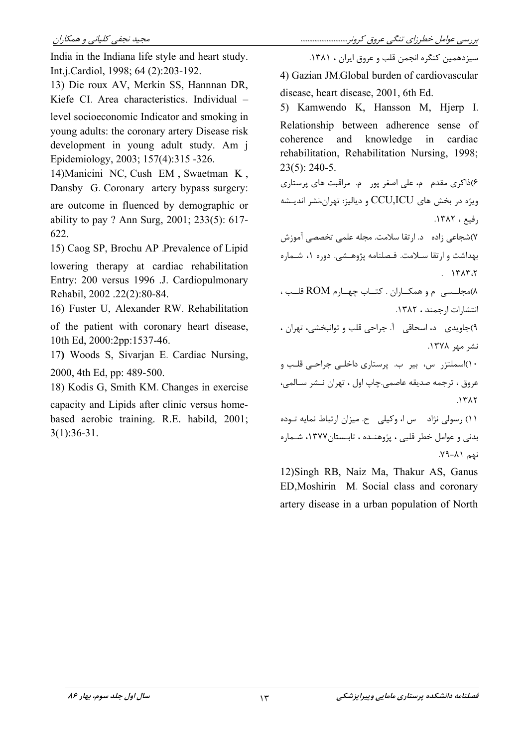India in the Indiana life style and heart study. Int.j.Cardiol, 1998; 64 (2):203-192.

13) Die roux AV, Merkin SS, Hannnan DR, Kiefe CI. Area characteristics. Individual level socioeconomic Indicator and smoking in young adults: the coronary artery Disease risk development in young adult study. Am j Epidemiology, 2003; 157(4):315 -326.

14) Manicini NC, Cush EM, Swaetman K, Dansby G. Coronary artery bypass surgery: are outcome in fluenced by demographic or ability to pay ? Ann Surg, 2001; 233(5): 617-622.

15) Caog SP, Brochu AP Prevalence of Lipid lowering therapy at cardiac rehabilitation Entry: 200 versus 1996 J. Cardiopulmonary

16) Fuster U. Alexander RW. Rehabilitation

Rehabil, 2002 .22(2):80-84.

of the patient with coronary heart disease. 10th Ed. 2000:2pp:1537-46.

17) Woods S, Sivarian E. Cardiac Nursing, 2000, 4th Ed, pp: 489-500.

18) Kodis G, Smith KM. Changes in exercise

capacity and Lipids after clinic versus homebased aerobic training. R.E. habild, 2001;  $3(1):36-31.$ 

سيزدهمين كنگره انجمن قلب و عروق ايران ، ١٣٨١.

4) Gazian JM.Global burden of cardiovascular disease, heart disease, 2001, 6th Ed.

5) Kamwendo K, Hansson M, Hjerp I. Relationship between adherence sense of coherence and knowledge  $in$ cardiac rehabilitation, Rehabilitation Nursing, 1998;  $23(5)$ : 240-5.

۶)ذاکری مقدم بم، علی اصغر یور بم. مراقبت های پرستاری ویژه در بخش های CCU,ICU و دیالیز: تهران،نشر اندیـشه ,فيع، ١٣٨٢.

٧)شجاعي زاده \_ د. ارتقا سلامت. مجله علمي تخصصي آموزش بهداشت و ارتقا سلامت. فـصلنامه پژوهـشي. دوره ١، شـماره  $. 171777$ 

٨)مجلسی م و همکاران . کتاب چهارم ROM قلب ، انتشارات ارجمند ، ١٣٨٢.

۹)جاویدی د، اسحاقی آ. جراحی قلب و توانبخشی، تهران ، نشر مهر ۱۳۷۸.

۱۰)اسملتزر س، بیر ب. پرستاری داخلبی جراحبی قلب و عروق ، ترجمه صديقه عاصمي.چاپ اول ، تهران نـشر سـالمي،  $151$ 

١١) رسولي نژاد مس ا، وكيلي ح. ميزان ارتباط نمايه توده بدنی و عوامل خطر قلبی ، پژوهنــده ، تابــستان١٣٧٧، شــماره  $L_{A\sigma}$   $(\lambda - \beta Y)$ .

12) Singh RB, Naiz Ma, Thakur AS, Ganus ED, Moshirin M. Social class and coronary artery disease in a urban population of North